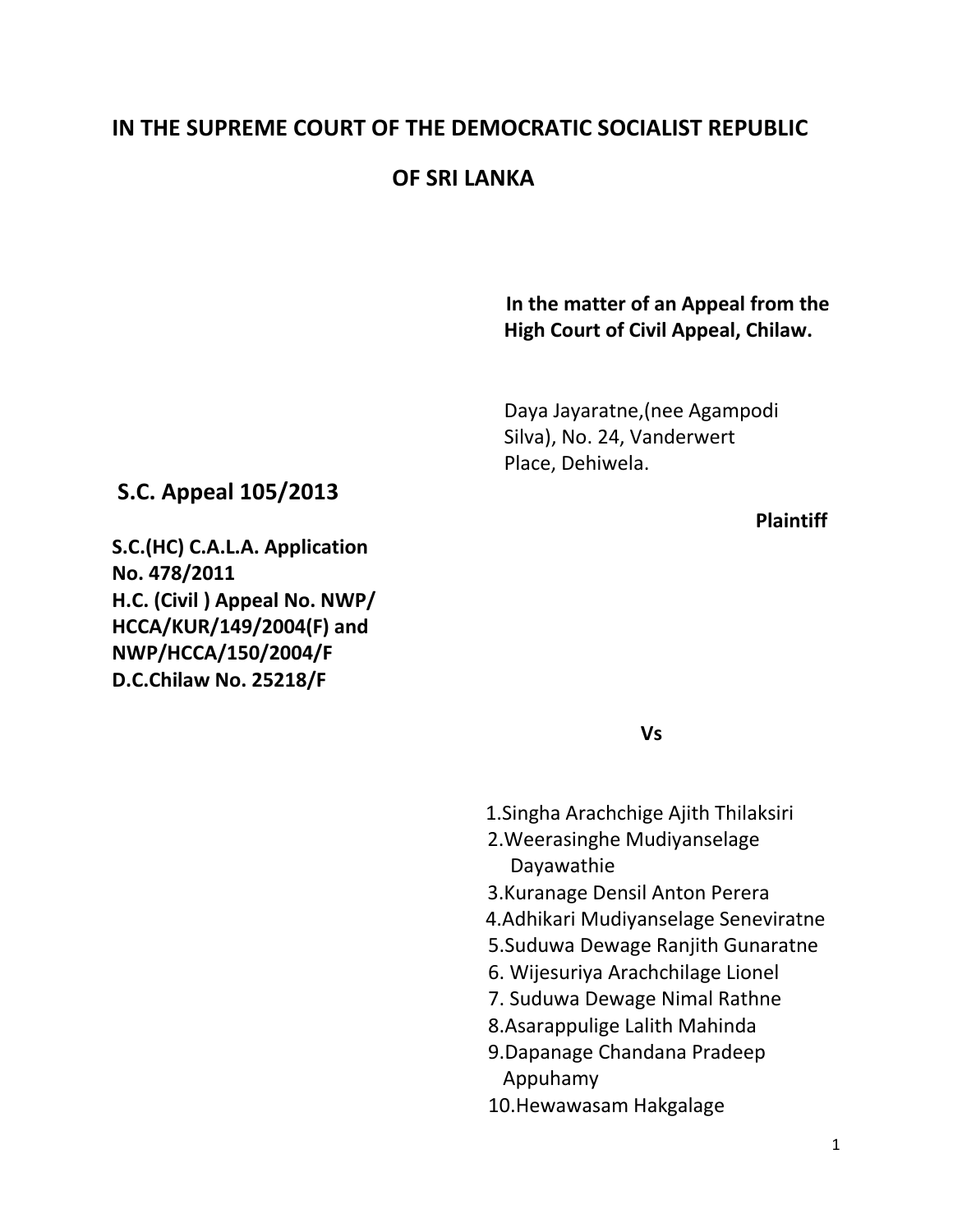# **IN THE SUPREME COURT OF THE DEMOCRATIC SOCIALIST REPUBLIC**

# **OF SRI LANKA**

# **In the matter of an Appeal from the High Court of Civil Appeal, Chilaw.**

Daya Jayaratne,(nee Agampodi Silva), No. 24, Vanderwert Place, Dehiwela.

# *Plaintiff*  $\overline{P}$

**S.C.(HC) C.A.L.A. Application No. 478/2011 H.C. (Civil ) Appeal No. NWP/ HCCA/KUR/149/2004(F) and NWP/HCCA/150/2004/F D.C.Chilaw No. 25218/F**

**S.C. Appeal 105/2013**

 **Vs**

- 1.Singha Arachchige Ajith Thilaksiri
- 2.Weerasinghe Mudiyanselage Dayawathie
- 3.Kuranage Densil Anton Perera
- 4.Adhikari Mudiyanselage Seneviratne
- 5.Suduwa Dewage Ranjith Gunaratne
- 6. Wijesuriya Arachchilage Lionel
- 7. Suduwa Dewage Nimal Rathne
- 8.Asarappulige Lalith Mahinda
- 9.Dapanage Chandana Pradeep Appuhamy
- 10.Hewawasam Hakgalage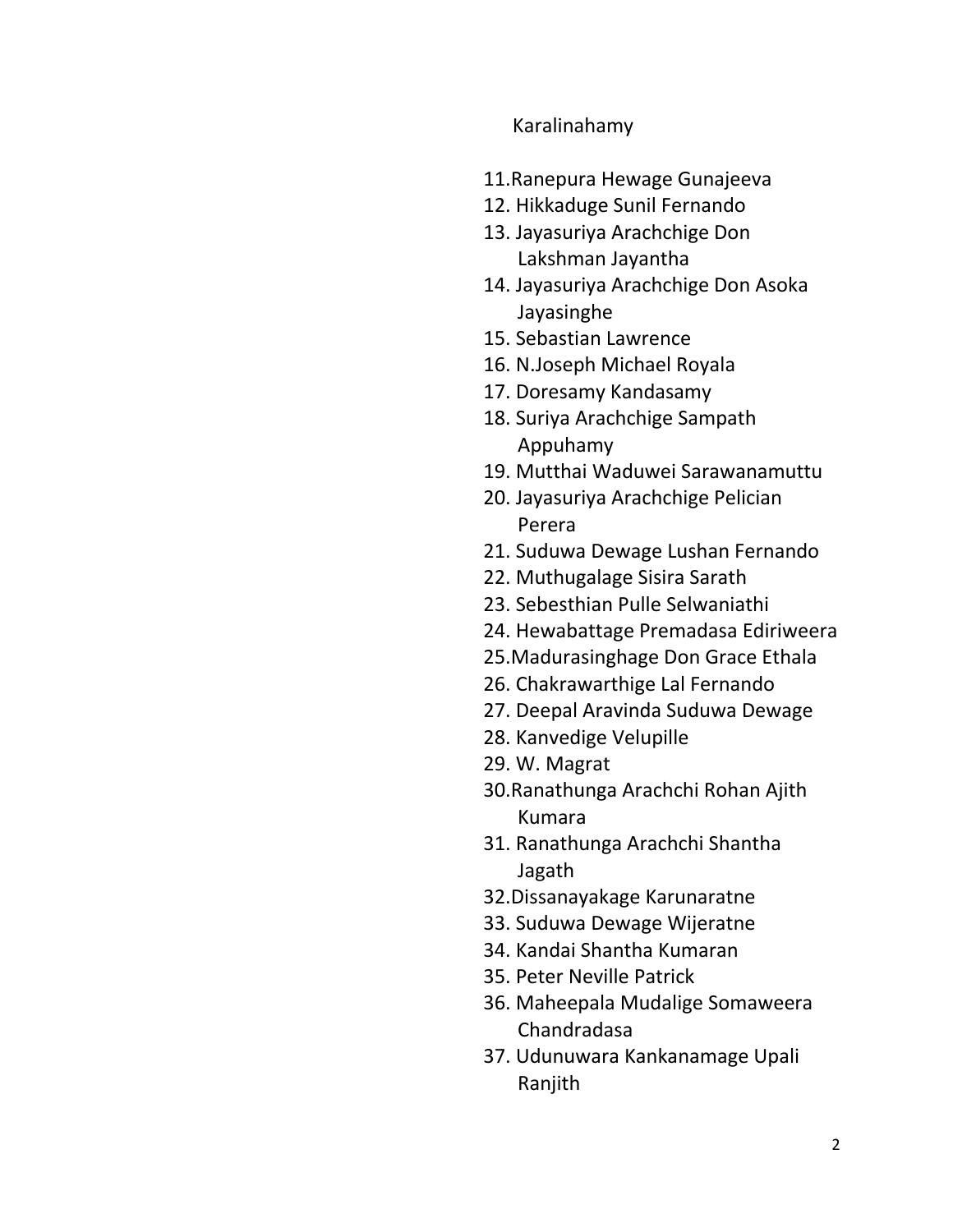### Karalinahamy

- 11.Ranepura Hewage Gunajeeva
- 12. Hikkaduge Sunil Fernando
- 13. Jayasuriya Arachchige Don Lakshman Jayantha
- 14. Jayasuriya Arachchige Don Asoka Jayasinghe
- 15. Sebastian Lawrence
- 16. N.Joseph Michael Royala
- 17. Doresamy Kandasamy
- 18. Suriya Arachchige Sampath Appuhamy
- 19. Mutthai Waduwei Sarawanamuttu
- 20. Jayasuriya Arachchige Pelician Perera
- 21. Suduwa Dewage Lushan Fernando
- 22. Muthugalage Sisira Sarath
- 23. Sebesthian Pulle Selwaniathi
- 24. Hewabattage Premadasa Ediriweera
- 25.Madurasinghage Don Grace Ethala
- 26. Chakrawarthige Lal Fernando
- 27. Deepal Aravinda Suduwa Dewage
- 28. Kanvedige Velupille
- 29. W. Magrat
- 30.Ranathunga Arachchi Rohan Ajith Kumara
- 31. Ranathunga Arachchi Shantha Jagath
- 32.Dissanayakage Karunaratne
- 33. Suduwa Dewage Wijeratne
- 34. Kandai Shantha Kumaran
- 35. Peter Neville Patrick
- 36. Maheepala Mudalige Somaweera Chandradasa
- 37. Udunuwara Kankanamage Upali Ranjith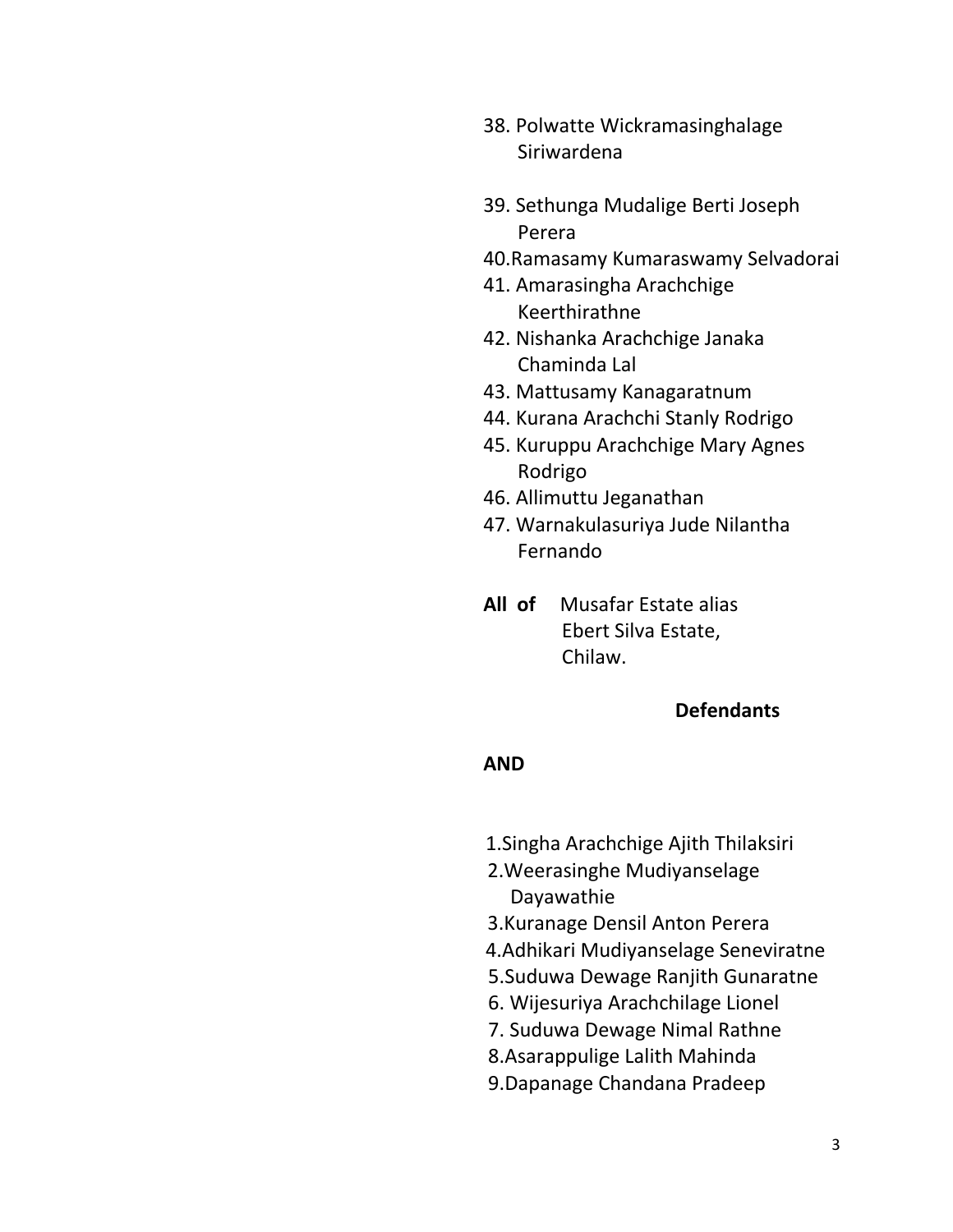- 38. Polwatte Wickramasinghalage Siriwardena
- 39. Sethunga Mudalige Berti Joseph Perera
- 40.Ramasamy Kumaraswamy Selvadorai
- 41. Amarasingha Arachchige Keerthirathne
- 42. Nishanka Arachchige Janaka Chaminda Lal
- 43. Mattusamy Kanagaratnum
- 44. Kurana Arachchi Stanly Rodrigo
- 45. Kuruppu Arachchige Mary Agnes Rodrigo
- 46. Allimuttu Jeganathan
- 47. Warnakulasuriya Jude Nilantha Fernando
- **All of** Musafar Estate alias Ebert Silva Estate, Chilaw.

#### **Defendants**

#### **AND**

- 1.Singha Arachchige Ajith Thilaksiri
- 2.Weerasinghe Mudiyanselage Dayawathie
- 3.Kuranage Densil Anton Perera
- 4.Adhikari Mudiyanselage Seneviratne
- 5.Suduwa Dewage Ranjith Gunaratne
- 6. Wijesuriya Arachchilage Lionel
- 7. Suduwa Dewage Nimal Rathne
- 8.Asarappulige Lalith Mahinda
- 9.Dapanage Chandana Pradeep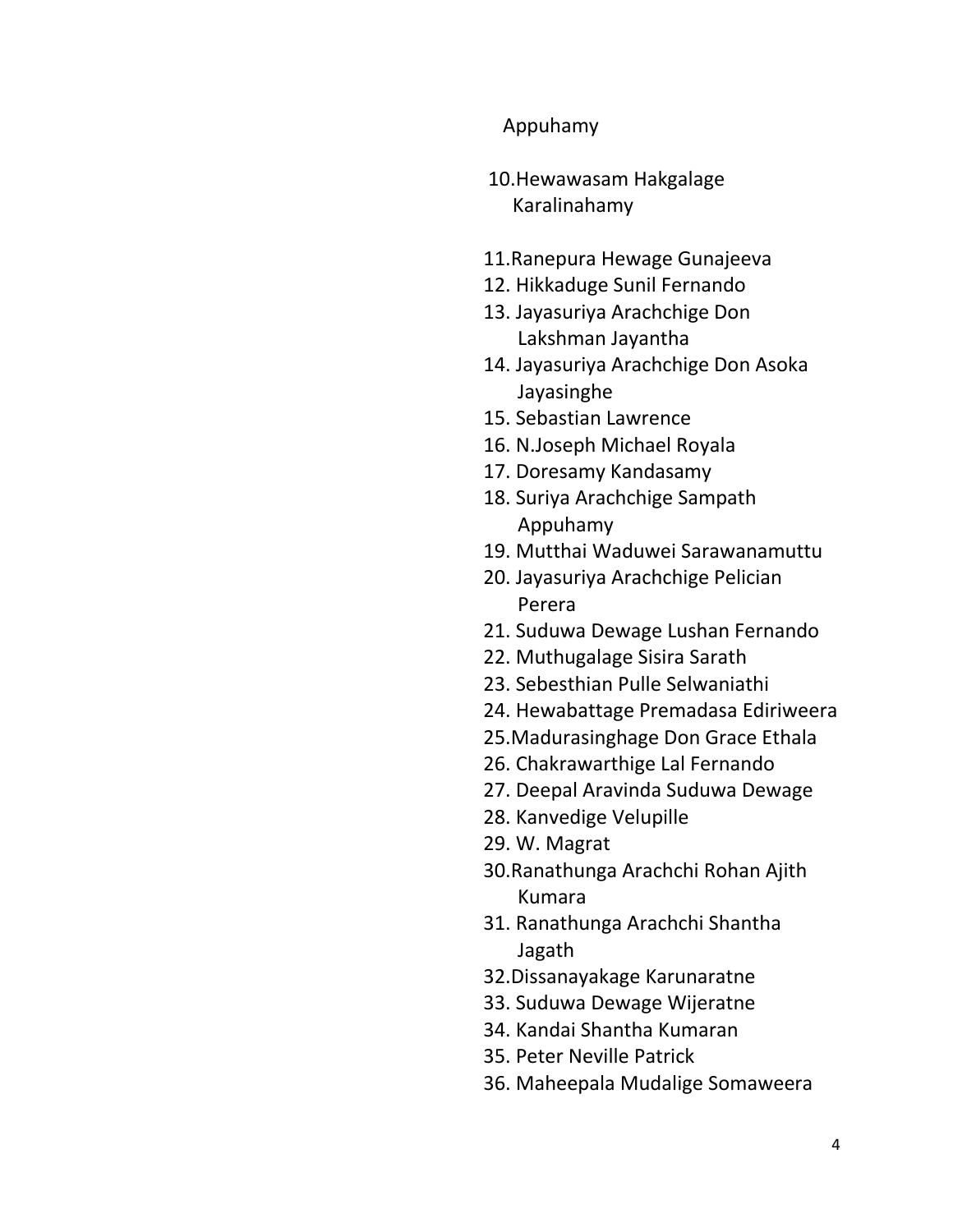# Appuhamy

- 10.Hewawasam Hakgalage Karalinahamy
- 11.Ranepura Hewage Gunajeeva
- 12. Hikkaduge Sunil Fernando
- 13. Jayasuriya Arachchige Don Lakshman Jayantha
- 14. Jayasuriya Arachchige Don Asoka Jayasinghe
- 15. Sebastian Lawrence
- 16. N.Joseph Michael Royala
- 17. Doresamy Kandasamy
- 18. Suriya Arachchige Sampath Appuhamy
- 19. Mutthai Waduwei Sarawanamuttu
- 20. Jayasuriya Arachchige Pelician Perera
- 21. Suduwa Dewage Lushan Fernando
- 22. Muthugalage Sisira Sarath
- 23. Sebesthian Pulle Selwaniathi
- 24. Hewabattage Premadasa Ediriweera
- 25.Madurasinghage Don Grace Ethala
- 26. Chakrawarthige Lal Fernando
- 27. Deepal Aravinda Suduwa Dewage
- 28. Kanvedige Velupille
- 29. W. Magrat
- 30.Ranathunga Arachchi Rohan Ajith Kumara
- 31. Ranathunga Arachchi Shantha Jagath
- 32.Dissanayakage Karunaratne
- 33. Suduwa Dewage Wijeratne
- 34. Kandai Shantha Kumaran
- 35. Peter Neville Patrick
- 36. Maheepala Mudalige Somaweera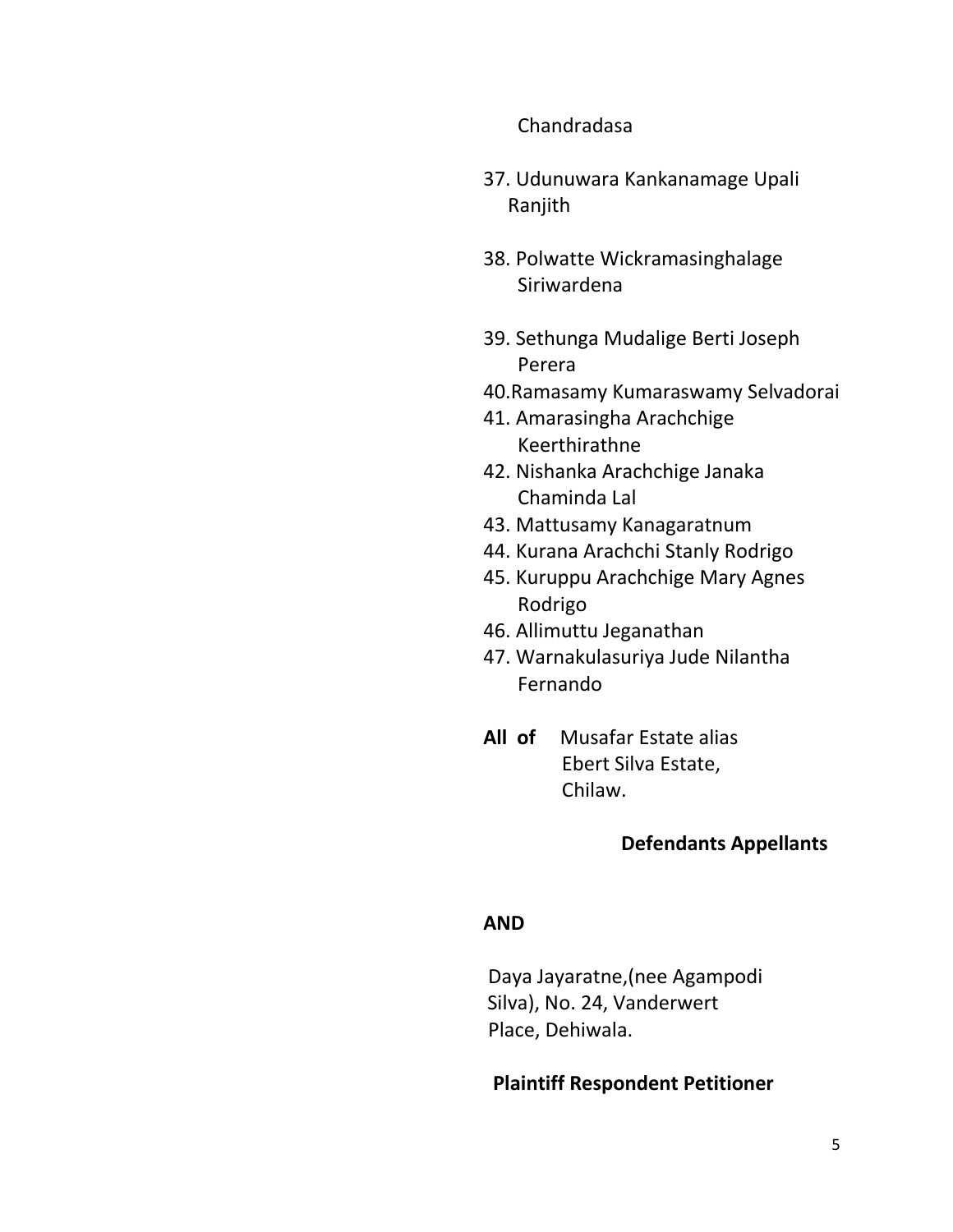#### Chandradasa

- 37. Udunuwara Kankanamage Upali Ranjith
- 38. Polwatte Wickramasinghalage Siriwardena
- 39. Sethunga Mudalige Berti Joseph Perera
- 40.Ramasamy Kumaraswamy Selvadorai
- 41. Amarasingha Arachchige Keerthirathne
- 42. Nishanka Arachchige Janaka Chaminda Lal
- 43. Mattusamy Kanagaratnum
- 44. Kurana Arachchi Stanly Rodrigo
- 45. Kuruppu Arachchige Mary Agnes Rodrigo
- 46. Allimuttu Jeganathan
- 47. Warnakulasuriya Jude Nilantha Fernando
- **All of** Musafar Estate alias Ebert Silva Estate, Chilaw.

### **Defendants Appellants**

#### **AND**

Daya Jayaratne,(nee Agampodi Silva), No. 24, Vanderwert Place, Dehiwala.

#### **Plaintiff Respondent Petitioner**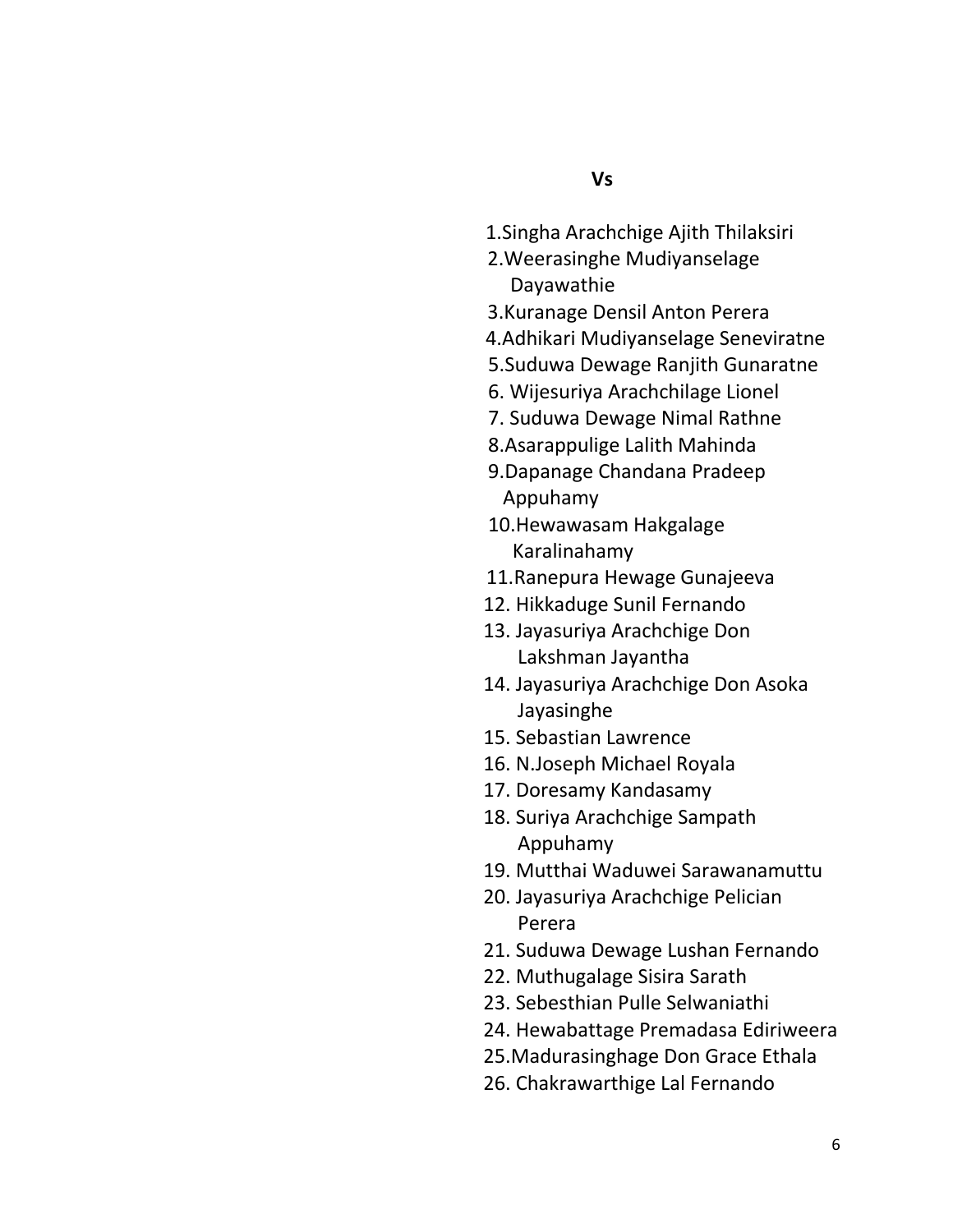- 1.Singha Arachchige Ajith Thilaksiri
- 2.Weerasinghe Mudiyanselage Dayawathie
- 3.Kuranage Densil Anton Perera
- 4.Adhikari Mudiyanselage Seneviratne
- 5.Suduwa Dewage Ranjith Gunaratne
- 6. Wijesuriya Arachchilage Lionel
- 7. Suduwa Dewage Nimal Rathne
- 8.Asarappulige Lalith Mahinda
- 9.Dapanage Chandana Pradeep Appuhamy
- 10.Hewawasam Hakgalage Karalinahamy
- 11.Ranepura Hewage Gunajeeva
- 12. Hikkaduge Sunil Fernando
- 13. Jayasuriya Arachchige Don Lakshman Jayantha
- 14. Jayasuriya Arachchige Don Asoka Jayasinghe
- 15. Sebastian Lawrence
- 16. N.Joseph Michael Royala
- 17. Doresamy Kandasamy
- 18. Suriya Arachchige Sampath Appuhamy
- 19. Mutthai Waduwei Sarawanamuttu
- 20. Jayasuriya Arachchige Pelician Perera
- 21. Suduwa Dewage Lushan Fernando
- 22. Muthugalage Sisira Sarath
- 23. Sebesthian Pulle Selwaniathi
- 24. Hewabattage Premadasa Ediriweera
- 25.Madurasinghage Don Grace Ethala
- 26. Chakrawarthige Lal Fernando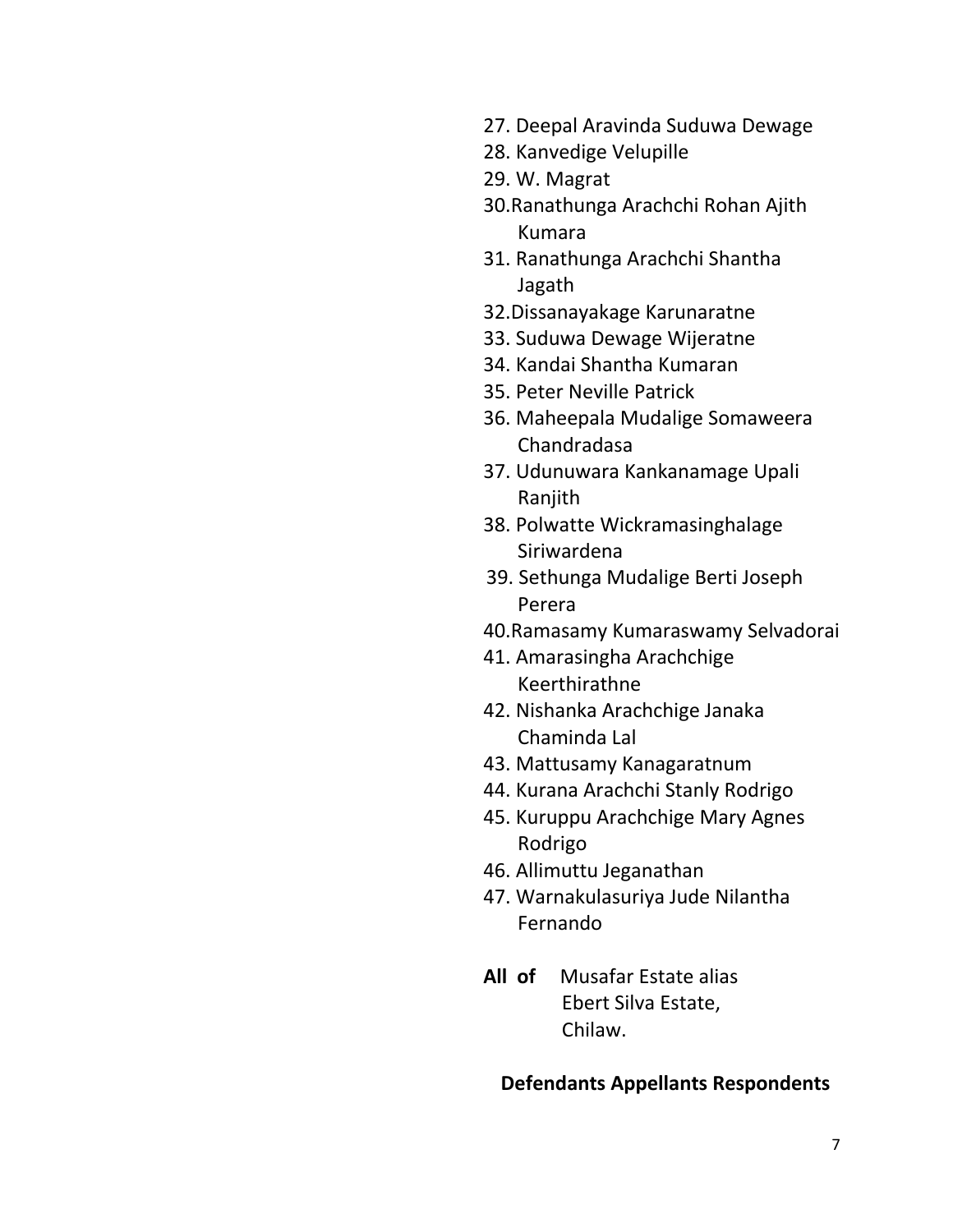- 27. Deepal Aravinda Suduwa Dewage
- 28. Kanvedige Velupille
- 29. W. Magrat
- 30.Ranathunga Arachchi Rohan Ajith Kumara
- 31. Ranathunga Arachchi Shantha Jagath
- 32.Dissanayakage Karunaratne
- 33. Suduwa Dewage Wijeratne
- 34. Kandai Shantha Kumaran
- 35. Peter Neville Patrick
- 36. Maheepala Mudalige Somaweera Chandradasa
- 37. Udunuwara Kankanamage Upali Ranjith
- 38. Polwatte Wickramasinghalage Siriwardena
- 39. Sethunga Mudalige Berti Joseph Perera
- 40.Ramasamy Kumaraswamy Selvadorai
- 41. Amarasingha Arachchige Keerthirathne
- 42. Nishanka Arachchige Janaka Chaminda Lal
- 43. Mattusamy Kanagaratnum
- 44. Kurana Arachchi Stanly Rodrigo
- 45. Kuruppu Arachchige Mary Agnes Rodrigo
- 46. Allimuttu Jeganathan
- 47. Warnakulasuriya Jude Nilantha Fernando
- **All of** Musafar Estate alias Ebert Silva Estate, Chilaw.

#### **Defendants Appellants Respondents**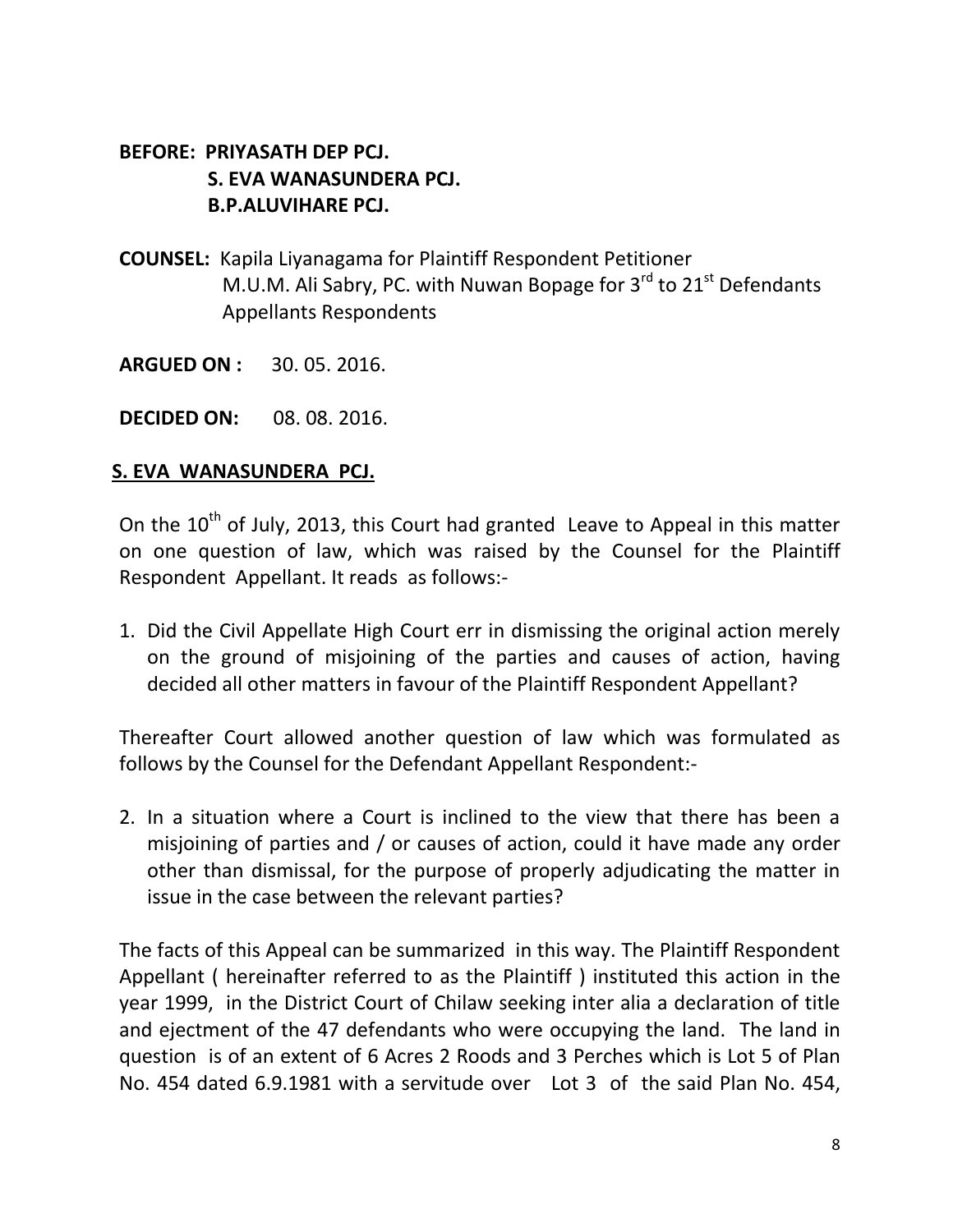# **BEFORE: PRIYASATH DEP PCJ. S. EVA WANASUNDERA PCJ. B.P.ALUVIHARE PCJ.**

- **COUNSEL:** Kapila Liyanagama for Plaintiff Respondent Petitioner M.U.M. Ali Sabry, PC. with Nuwan Bopage for 3rd to 21st Defendants Appellants Respondents
- **ARGUED ON :** 30. 05. 2016.
- **DECIDED ON:** 08. 08. 2016.

#### **S. EVA WANASUNDERA PCJ.**

On the  $10^{th}$  of July, 2013, this Court had granted Leave to Appeal in this matter on one question of law, which was raised by the Counsel for the Plaintiff Respondent Appellant. It reads as follows:-

1. Did the Civil Appellate High Court err in dismissing the original action merely on the ground of misjoining of the parties and causes of action, having decided all other matters in favour of the Plaintiff Respondent Appellant?

Thereafter Court allowed another question of law which was formulated as follows by the Counsel for the Defendant Appellant Respondent:-

2. In a situation where a Court is inclined to the view that there has been a misjoining of parties and / or causes of action, could it have made any order other than dismissal, for the purpose of properly adjudicating the matter in issue in the case between the relevant parties?

The facts of this Appeal can be summarized in this way. The Plaintiff Respondent Appellant ( hereinafter referred to as the Plaintiff ) instituted this action in the year 1999, in the District Court of Chilaw seeking inter alia a declaration of title and ejectment of the 47 defendants who were occupying the land. The land in question is of an extent of 6 Acres 2 Roods and 3 Perches which is Lot 5 of Plan No. 454 dated 6.9.1981 with a servitude over Lot 3 of the said Plan No. 454,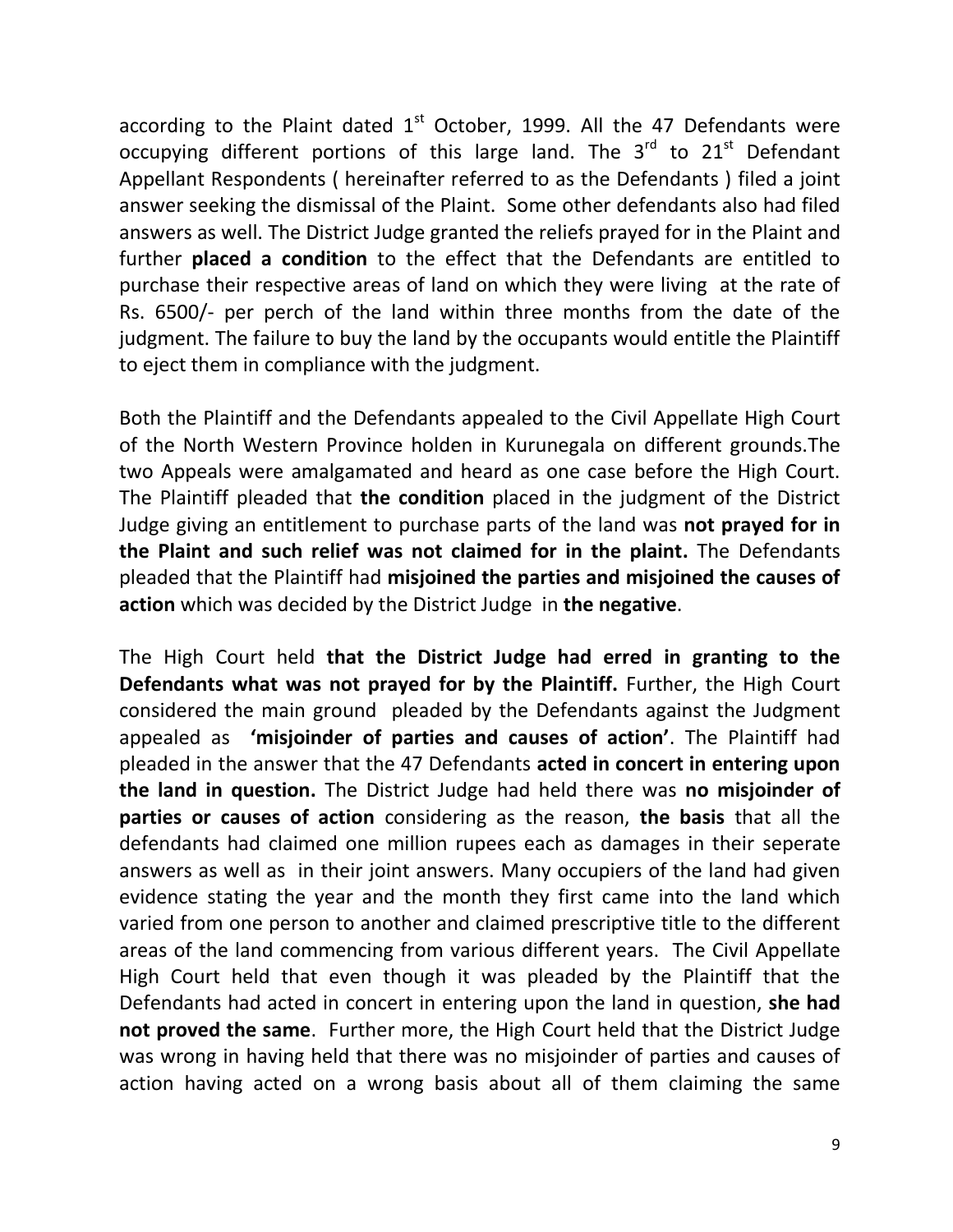according to the Plaint dated  $1<sup>st</sup>$  October, 1999. All the 47 Defendants were occupying different portions of this large land. The  $3<sup>rd</sup>$  to  $21<sup>st</sup>$  Defendant Appellant Respondents ( hereinafter referred to as the Defendants ) filed a joint answer seeking the dismissal of the Plaint. Some other defendants also had filed answers as well. The District Judge granted the reliefs prayed for in the Plaint and further **placed a condition** to the effect that the Defendants are entitled to purchase their respective areas of land on which they were living at the rate of Rs. 6500/- per perch of the land within three months from the date of the judgment. The failure to buy the land by the occupants would entitle the Plaintiff to eject them in compliance with the judgment.

Both the Plaintiff and the Defendants appealed to the Civil Appellate High Court of the North Western Province holden in Kurunegala on different grounds.The two Appeals were amalgamated and heard as one case before the High Court. The Plaintiff pleaded that **the condition** placed in the judgment of the District Judge giving an entitlement to purchase parts of the land was **not prayed for in the Plaint and such relief was not claimed for in the plaint.** The Defendants pleaded that the Plaintiff had **misjoined the parties and misjoined the causes of action** which was decided by the District Judge in **the negative**.

The High Court held **that the District Judge had erred in granting to the Defendants what was not prayed for by the Plaintiff.** Further, the High Court considered the main ground pleaded by the Defendants against the Judgment appealed as **'misjoinder of parties and causes of action'**. The Plaintiff had pleaded in the answer that the 47 Defendants **acted in concert in entering upon the land in question.** The District Judge had held there was **no misjoinder of parties or causes of action** considering as the reason, **the basis** that all the defendants had claimed one million rupees each as damages in their seperate answers as well as in their joint answers. Many occupiers of the land had given evidence stating the year and the month they first came into the land which varied from one person to another and claimed prescriptive title to the different areas of the land commencing from various different years. The Civil Appellate High Court held that even though it was pleaded by the Plaintiff that the Defendants had acted in concert in entering upon the land in question, **she had not proved the same**. Further more, the High Court held that the District Judge was wrong in having held that there was no misjoinder of parties and causes of action having acted on a wrong basis about all of them claiming the same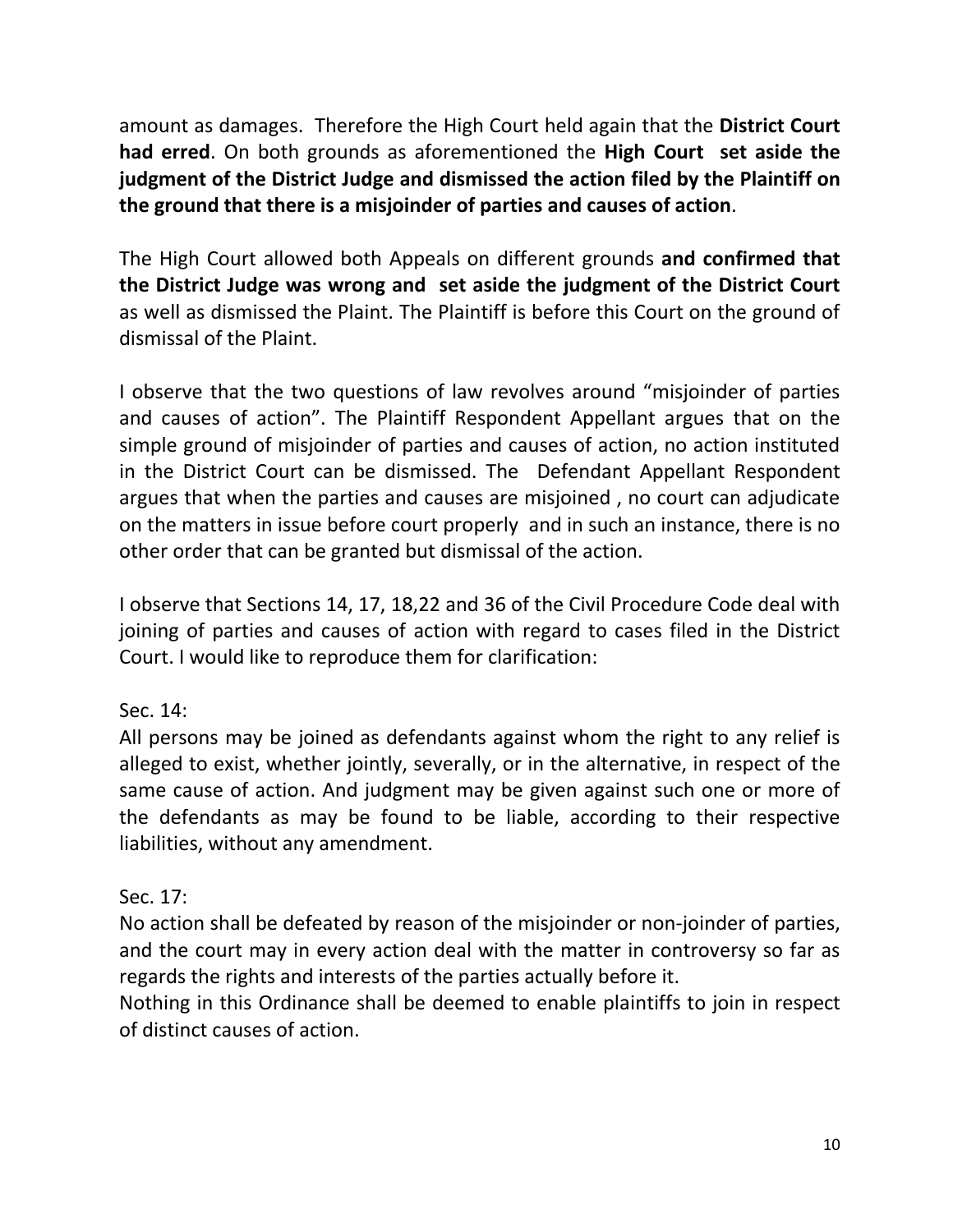amount as damages. Therefore the High Court held again that the **District Court had erred**. On both grounds as aforementioned the **High Court set aside the judgment of the District Judge and dismissed the action filed by the Plaintiff on the ground that there is a misjoinder of parties and causes of action**.

The High Court allowed both Appeals on different grounds **and confirmed that the District Judge was wrong and set aside the judgment of the District Court** as well as dismissed the Plaint. The Plaintiff is before this Court on the ground of dismissal of the Plaint.

I observe that the two questions of law revolves around "misjoinder of parties and causes of action". The Plaintiff Respondent Appellant argues that on the simple ground of misjoinder of parties and causes of action, no action instituted in the District Court can be dismissed. The Defendant Appellant Respondent argues that when the parties and causes are misjoined , no court can adjudicate on the matters in issue before court properly and in such an instance, there is no other order that can be granted but dismissal of the action.

I observe that Sections 14, 17, 18,22 and 36 of the Civil Procedure Code deal with joining of parties and causes of action with regard to cases filed in the District Court. I would like to reproduce them for clarification:

Sec. 14:

All persons may be joined as defendants against whom the right to any relief is alleged to exist, whether jointly, severally, or in the alternative, in respect of the same cause of action. And judgment may be given against such one or more of the defendants as may be found to be liable, according to their respective liabilities, without any amendment.

Sec. 17:

No action shall be defeated by reason of the misjoinder or non-joinder of parties, and the court may in every action deal with the matter in controversy so far as regards the rights and interests of the parties actually before it.

Nothing in this Ordinance shall be deemed to enable plaintiffs to join in respect of distinct causes of action.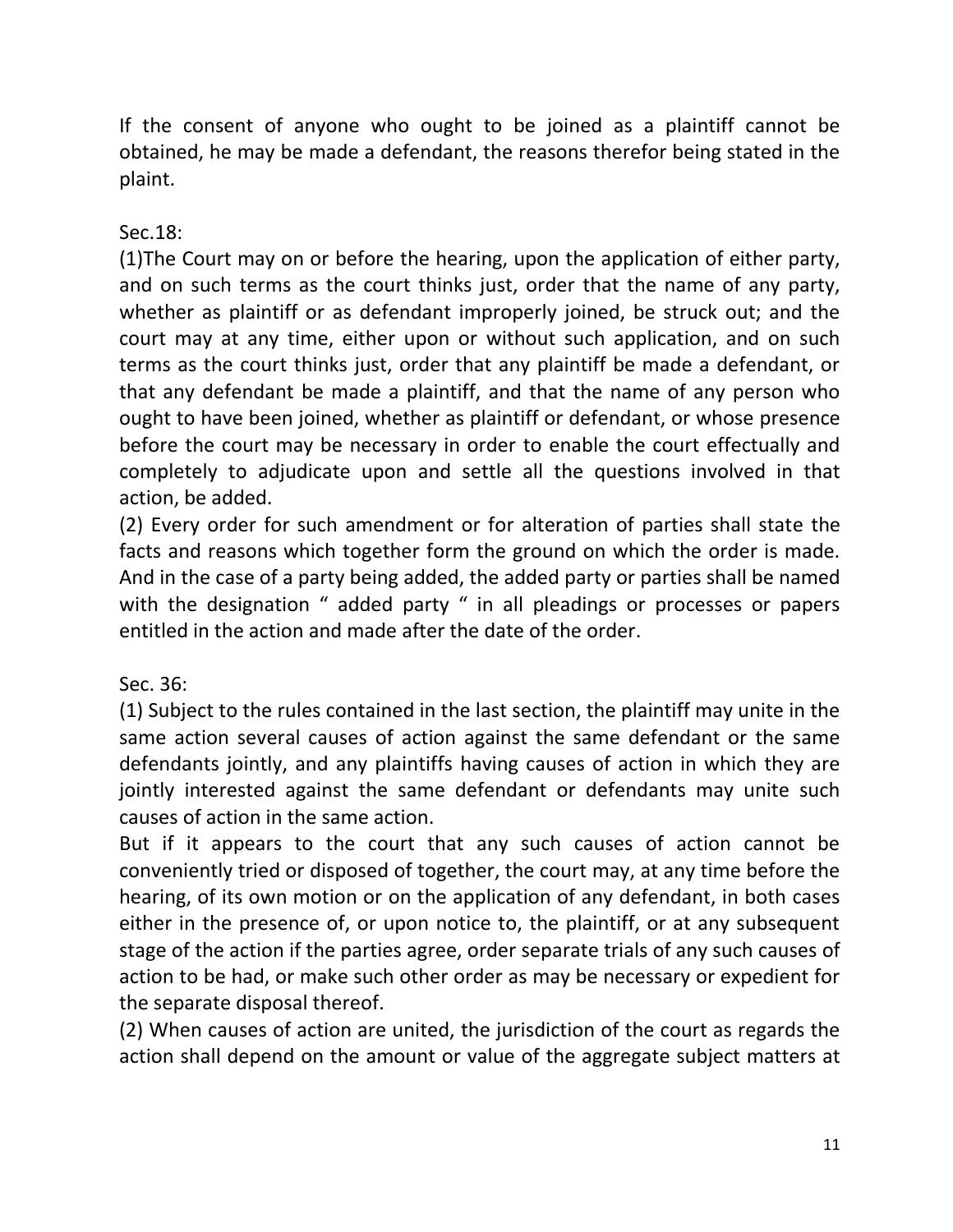If the consent of anyone who ought to be joined as a plaintiff cannot be obtained, he may be made a defendant, the reasons therefor being stated in the plaint.

Sec.18:

(1)The Court may on or before the hearing, upon the application of either party, and on such terms as the court thinks just, order that the name of any party, whether as plaintiff or as defendant improperly joined, be struck out; and the court may at any time, either upon or without such application, and on such terms as the court thinks just, order that any plaintiff be made a defendant, or that any defendant be made a plaintiff, and that the name of any person who ought to have been joined, whether as plaintiff or defendant, or whose presence before the court may be necessary in order to enable the court effectually and completely to adjudicate upon and settle all the questions involved in that action, be added.

(2) Every order for such amendment or for alteration of parties shall state the facts and reasons which together form the ground on which the order is made. And in the case of a party being added, the added party or parties shall be named with the designation " added party " in all pleadings or processes or papers entitled in the action and made after the date of the order.

Sec. 36:

(1) Subject to the rules contained in the last section, the plaintiff may unite in the same action several causes of action against the same defendant or the same defendants jointly, and any plaintiffs having causes of action in which they are jointly interested against the same defendant or defendants may unite such causes of action in the same action.

But if it appears to the court that any such causes of action cannot be conveniently tried or disposed of together, the court may, at any time before the hearing, of its own motion or on the application of any defendant, in both cases either in the presence of, or upon notice to, the plaintiff, or at any subsequent stage of the action if the parties agree, order separate trials of any such causes of action to be had, or make such other order as may be necessary or expedient for the separate disposal thereof.

(2) When causes of action are united, the jurisdiction of the court as regards the action shall depend on the amount or value of the aggregate subject matters at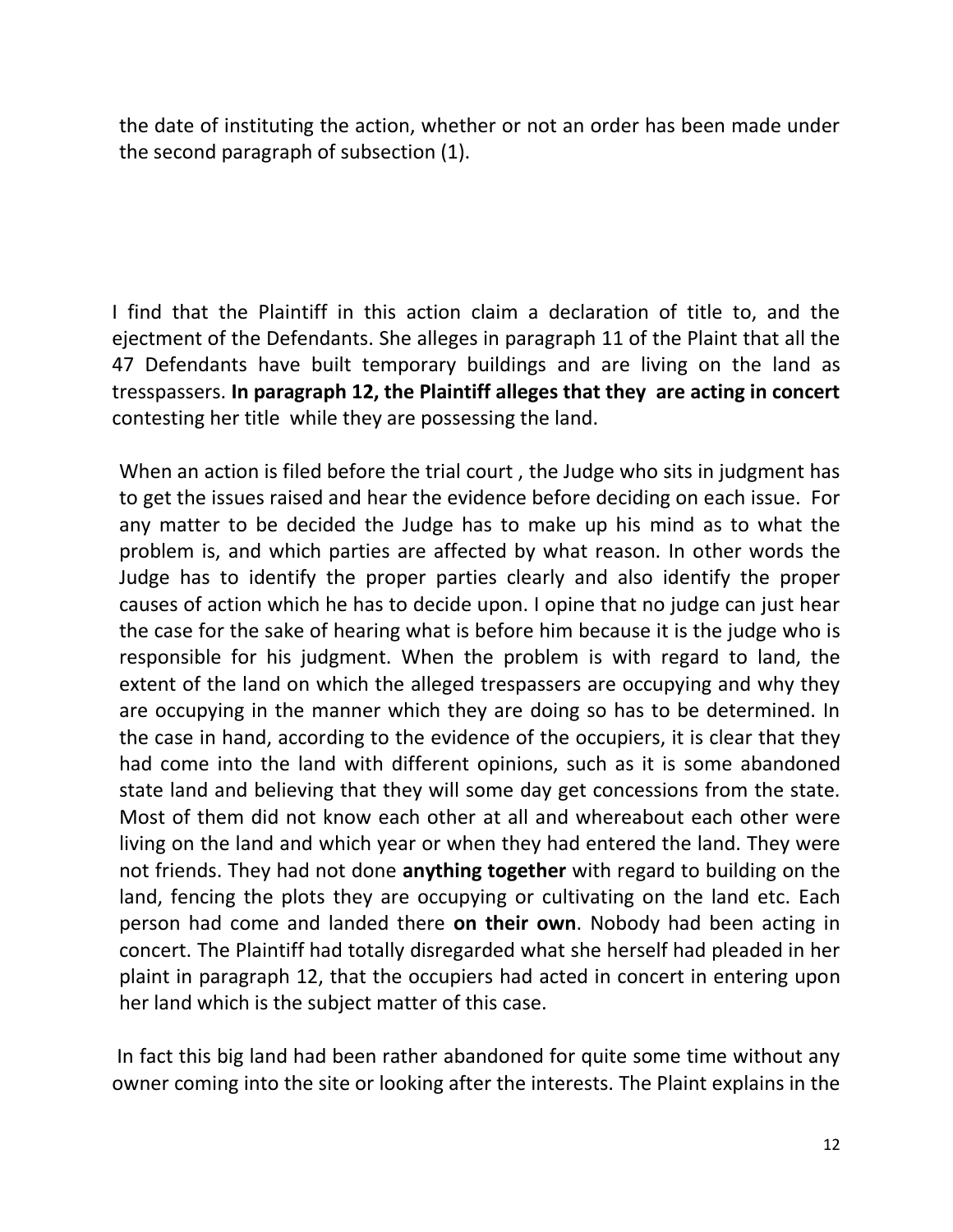the date of instituting the action, whether or not an order has been made under the second paragraph of subsection (1).

I find that the Plaintiff in this action claim a declaration of title to, and the ejectment of the Defendants. She alleges in paragraph 11 of the Plaint that all the 47 Defendants have built temporary buildings and are living on the land as tresspassers. **In paragraph 12, the Plaintiff alleges that they are acting in concert** contesting her title while they are possessing the land.

When an action is filed before the trial court , the Judge who sits in judgment has to get the issues raised and hear the evidence before deciding on each issue. For any matter to be decided the Judge has to make up his mind as to what the problem is, and which parties are affected by what reason. In other words the Judge has to identify the proper parties clearly and also identify the proper causes of action which he has to decide upon. I opine that no judge can just hear the case for the sake of hearing what is before him because it is the judge who is responsible for his judgment. When the problem is with regard to land, the extent of the land on which the alleged trespassers are occupying and why they are occupying in the manner which they are doing so has to be determined. In the case in hand, according to the evidence of the occupiers, it is clear that they had come into the land with different opinions, such as it is some abandoned state land and believing that they will some day get concessions from the state. Most of them did not know each other at all and whereabout each other were living on the land and which year or when they had entered the land. They were not friends. They had not done **anything together** with regard to building on the land, fencing the plots they are occupying or cultivating on the land etc. Each person had come and landed there **on their own**. Nobody had been acting in concert. The Plaintiff had totally disregarded what she herself had pleaded in her plaint in paragraph 12, that the occupiers had acted in concert in entering upon her land which is the subject matter of this case.

In fact this big land had been rather abandoned for quite some time without any owner coming into the site or looking after the interests. The Plaint explains in the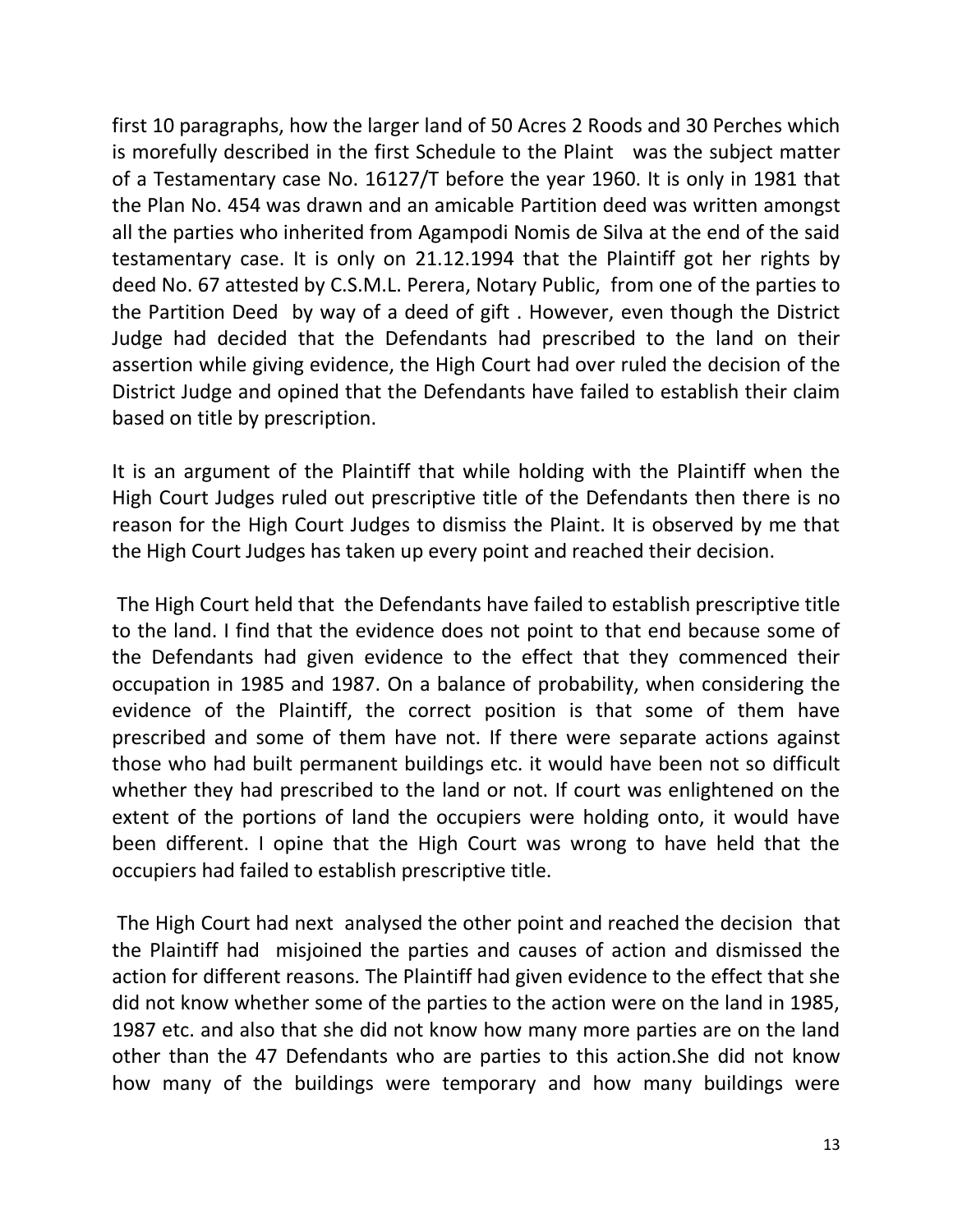first 10 paragraphs, how the larger land of 50 Acres 2 Roods and 30 Perches which is morefully described in the first Schedule to the Plaint was the subject matter of a Testamentary case No. 16127/T before the year 1960. It is only in 1981 that the Plan No. 454 was drawn and an amicable Partition deed was written amongst all the parties who inherited from Agampodi Nomis de Silva at the end of the said testamentary case. It is only on 21.12.1994 that the Plaintiff got her rights by deed No. 67 attested by C.S.M.L. Perera, Notary Public, from one of the parties to the Partition Deed by way of a deed of gift . However, even though the District Judge had decided that the Defendants had prescribed to the land on their assertion while giving evidence, the High Court had over ruled the decision of the District Judge and opined that the Defendants have failed to establish their claim based on title by prescription.

It is an argument of the Plaintiff that while holding with the Plaintiff when the High Court Judges ruled out prescriptive title of the Defendants then there is no reason for the High Court Judges to dismiss the Plaint. It is observed by me that the High Court Judges has taken up every point and reached their decision.

The High Court held that the Defendants have failed to establish prescriptive title to the land. I find that the evidence does not point to that end because some of the Defendants had given evidence to the effect that they commenced their occupation in 1985 and 1987. On a balance of probability, when considering the evidence of the Plaintiff, the correct position is that some of them have prescribed and some of them have not. If there were separate actions against those who had built permanent buildings etc. it would have been not so difficult whether they had prescribed to the land or not. If court was enlightened on the extent of the portions of land the occupiers were holding onto, it would have been different. I opine that the High Court was wrong to have held that the occupiers had failed to establish prescriptive title.

The High Court had next analysed the other point and reached the decision that the Plaintiff had misjoined the parties and causes of action and dismissed the action for different reasons. The Plaintiff had given evidence to the effect that she did not know whether some of the parties to the action were on the land in 1985, 1987 etc. and also that she did not know how many more parties are on the land other than the 47 Defendants who are parties to this action.She did not know how many of the buildings were temporary and how many buildings were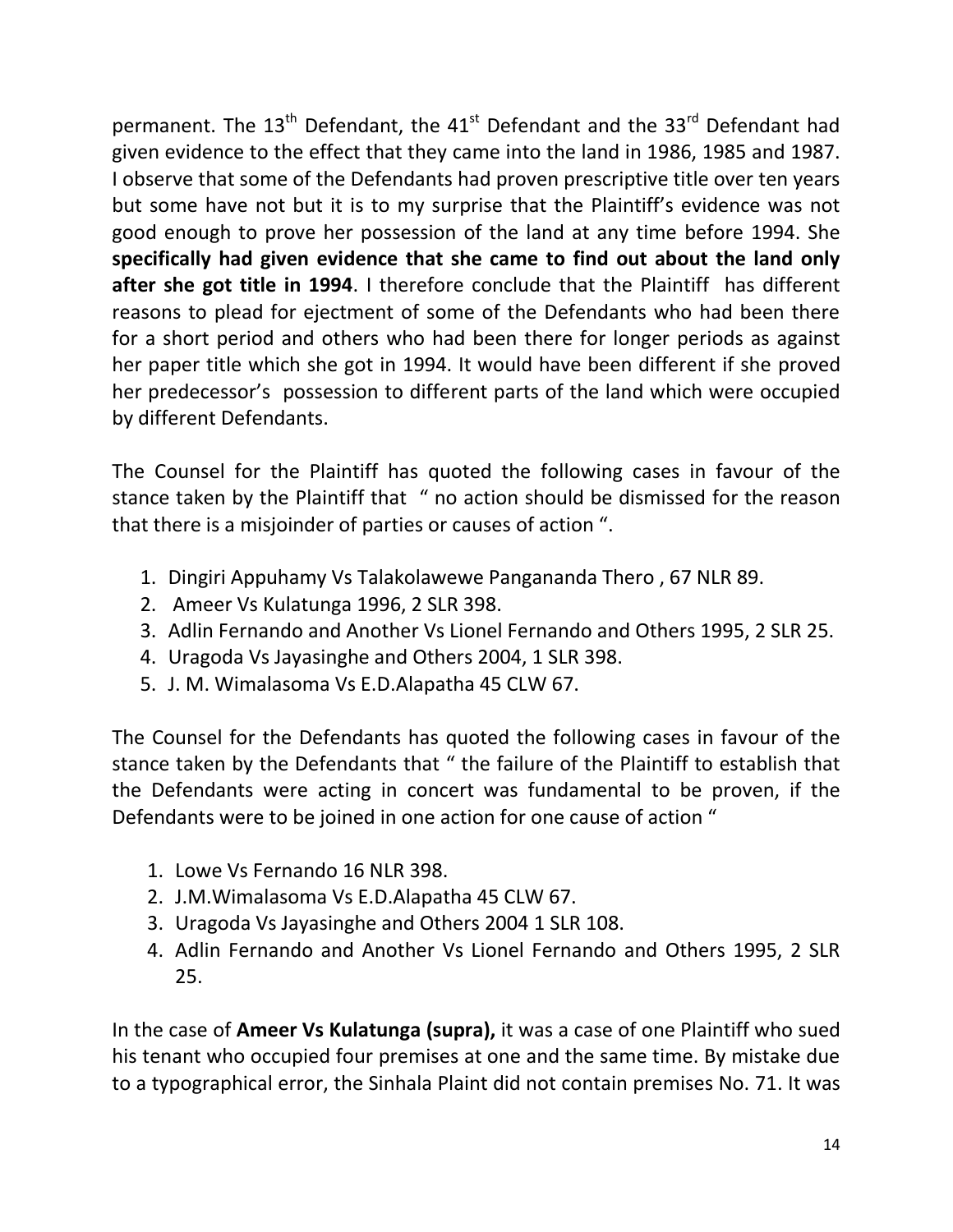permanent. The  $13<sup>th</sup>$  Defendant, the  $41<sup>st</sup>$  Defendant and the  $33<sup>rd</sup>$  Defendant had given evidence to the effect that they came into the land in 1986, 1985 and 1987. I observe that some of the Defendants had proven prescriptive title over ten years but some have not but it is to my surprise that the Plaintiff's evidence was not good enough to prove her possession of the land at any time before 1994. She **specifically had given evidence that she came to find out about the land only after she got title in 1994**. I therefore conclude that the Plaintiff has different reasons to plead for ejectment of some of the Defendants who had been there for a short period and others who had been there for longer periods as against her paper title which she got in 1994. It would have been different if she proved her predecessor's possession to different parts of the land which were occupied by different Defendants.

The Counsel for the Plaintiff has quoted the following cases in favour of the stance taken by the Plaintiff that " no action should be dismissed for the reason that there is a misjoinder of parties or causes of action ".

- 1. Dingiri Appuhamy Vs Talakolawewe Pangananda Thero , 67 NLR 89.
- 2. Ameer Vs Kulatunga 1996, 2 SLR 398.
- 3. Adlin Fernando and Another Vs Lionel Fernando and Others 1995, 2 SLR 25.
- 4. Uragoda Vs Jayasinghe and Others 2004, 1 SLR 398.
- 5. J. M. Wimalasoma Vs E.D.Alapatha 45 CLW 67.

The Counsel for the Defendants has quoted the following cases in favour of the stance taken by the Defendants that " the failure of the Plaintiff to establish that the Defendants were acting in concert was fundamental to be proven, if the Defendants were to be joined in one action for one cause of action "

- 1. Lowe Vs Fernando 16 NLR 398.
- 2. J.M.Wimalasoma Vs E.D.Alapatha 45 CLW 67.
- 3. Uragoda Vs Jayasinghe and Others 2004 1 SLR 108.
- 4. Adlin Fernando and Another Vs Lionel Fernando and Others 1995, 2 SLR 25.

In the case of **Ameer Vs Kulatunga (supra),** it was a case of one Plaintiff who sued his tenant who occupied four premises at one and the same time. By mistake due to a typographical error, the Sinhala Plaint did not contain premises No. 71. It was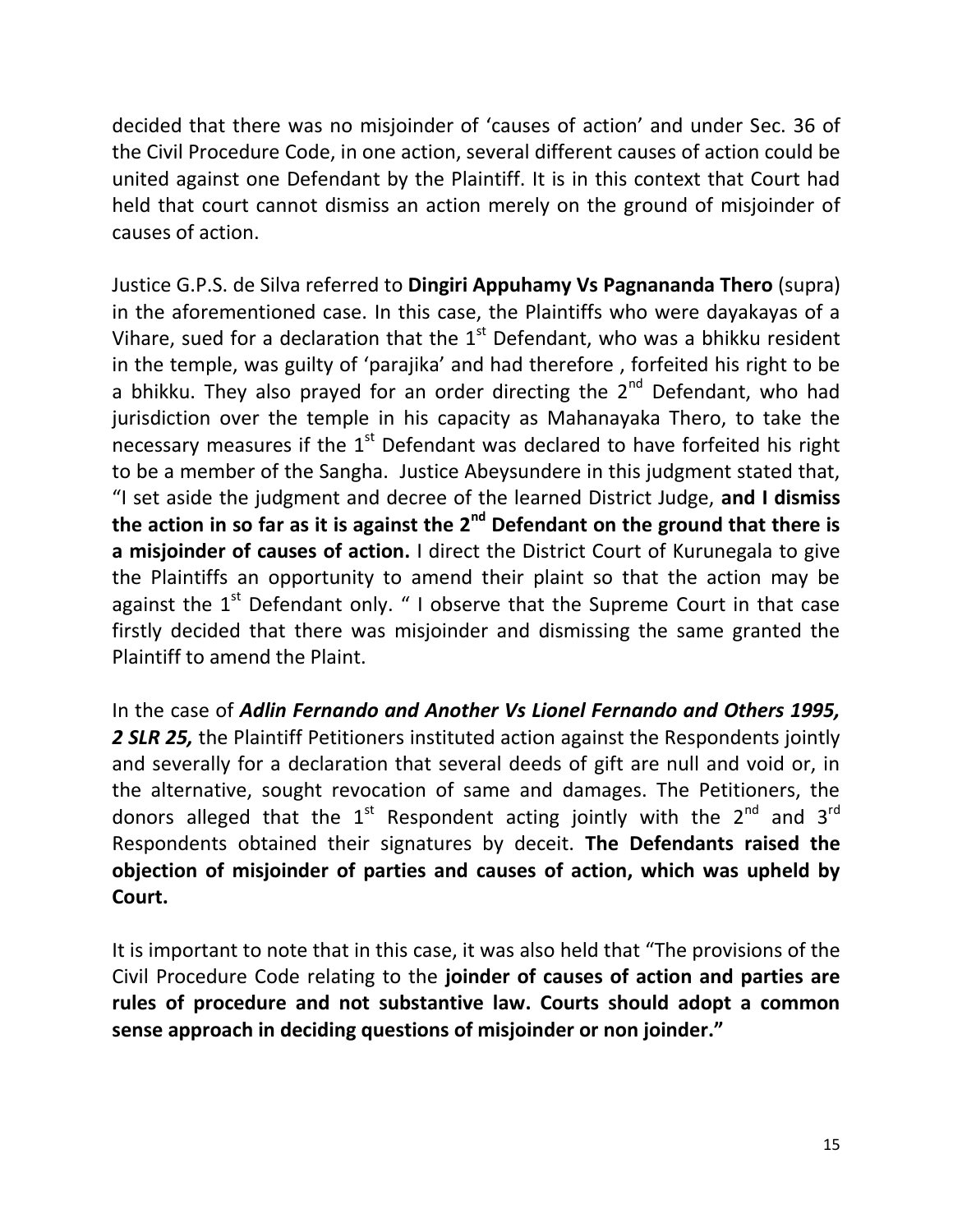decided that there was no misjoinder of 'causes of action' and under Sec. 36 of the Civil Procedure Code, in one action, several different causes of action could be united against one Defendant by the Plaintiff. It is in this context that Court had held that court cannot dismiss an action merely on the ground of misjoinder of causes of action.

Justice G.P.S. de Silva referred to **Dingiri Appuhamy Vs Pagnananda Thero** (supra) in the aforementioned case. In this case, the Plaintiffs who were dayakayas of a Vihare, sued for a declaration that the  $1<sup>st</sup>$  Defendant, who was a bhikku resident in the temple, was guilty of 'parajika' and had therefore , forfeited his right to be a bhikku. They also prayed for an order directing the  $2^{nd}$  Defendant, who had jurisdiction over the temple in his capacity as Mahanayaka Thero, to take the necessary measures if the  $1<sup>st</sup>$  Defendant was declared to have forfeited his right to be a member of the Sangha. Justice Abeysundere in this judgment stated that, "I set aside the judgment and decree of the learned District Judge, **and I dismiss the action in so far as it is against the 2nd Defendant on the ground that there is a misjoinder of causes of action.** I direct the District Court of Kurunegala to give the Plaintiffs an opportunity to amend their plaint so that the action may be against the  $1^{st}$  Defendant only. " I observe that the Supreme Court in that case firstly decided that there was misjoinder and dismissing the same granted the Plaintiff to amend the Plaint.

In the case of *Adlin Fernando and Another Vs Lionel Fernando and Others 1995,*  2 **SLR 25,** the Plaintiff Petitioners instituted action against the Respondents jointly and severally for a declaration that several deeds of gift are null and void or, in the alternative, sought revocation of same and damages. The Petitioners, the donors alleged that the  $1^{st}$  Respondent acting jointly with the  $2^{nd}$  and  $3^{rd}$ Respondents obtained their signatures by deceit. **The Defendants raised the objection of misjoinder of parties and causes of action, which was upheld by Court.**

It is important to note that in this case, it was also held that "The provisions of the Civil Procedure Code relating to the **joinder of causes of action and parties are rules of procedure and not substantive law. Courts should adopt a common sense approach in deciding questions of misjoinder or non joinder."**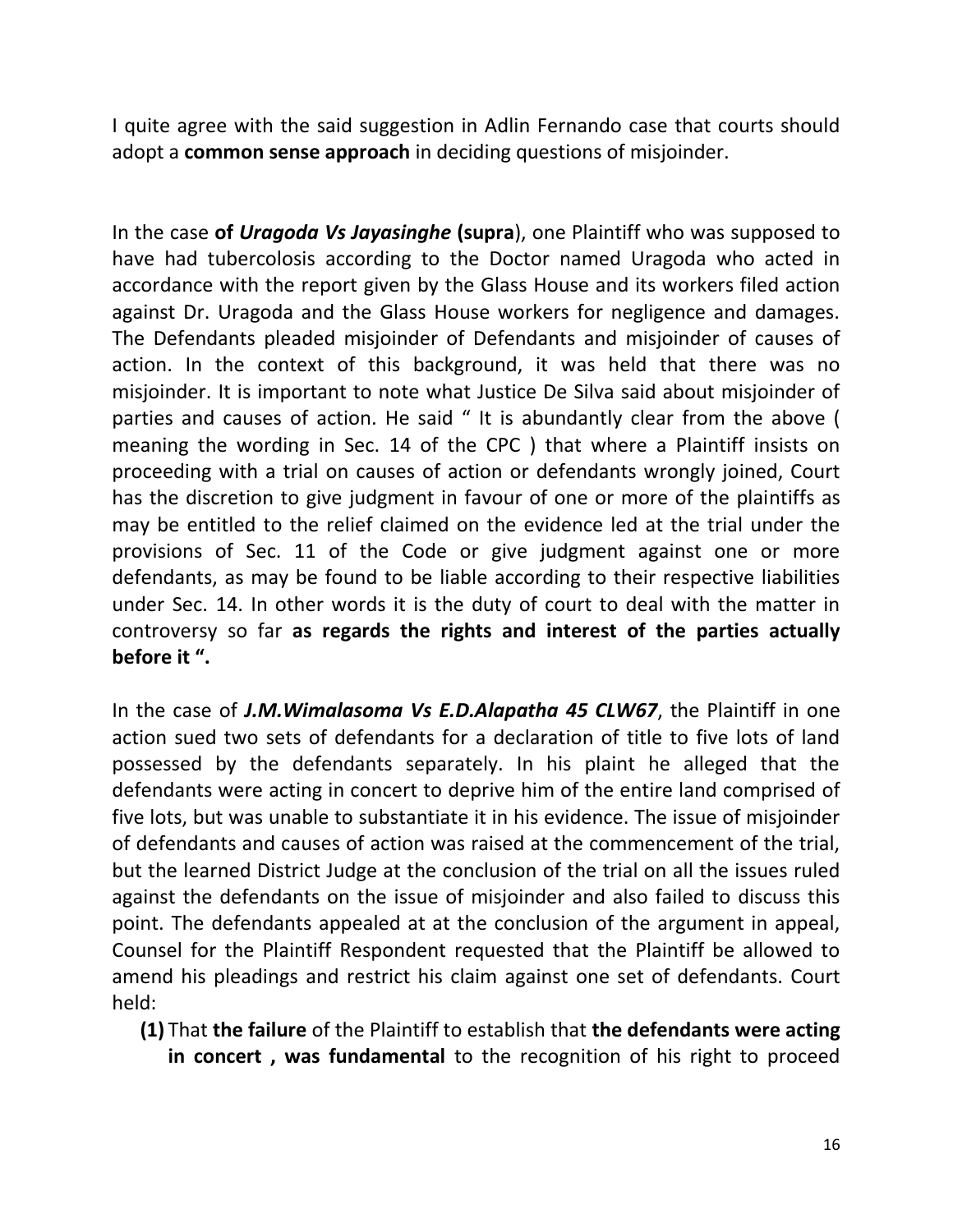I quite agree with the said suggestion in Adlin Fernando case that courts should adopt a **common sense approach** in deciding questions of misjoinder.

In the case **of** *Uragoda Vs Jayasinghe* **(supra**), one Plaintiff who was supposed to have had tubercolosis according to the Doctor named Uragoda who acted in accordance with the report given by the Glass House and its workers filed action against Dr. Uragoda and the Glass House workers for negligence and damages. The Defendants pleaded misjoinder of Defendants and misjoinder of causes of action. In the context of this background, it was held that there was no misjoinder. It is important to note what Justice De Silva said about misjoinder of parties and causes of action. He said " It is abundantly clear from the above ( meaning the wording in Sec. 14 of the CPC ) that where a Plaintiff insists on proceeding with a trial on causes of action or defendants wrongly joined, Court has the discretion to give judgment in favour of one or more of the plaintiffs as may be entitled to the relief claimed on the evidence led at the trial under the provisions of Sec. 11 of the Code or give judgment against one or more defendants, as may be found to be liable according to their respective liabilities under Sec. 14. In other words it is the duty of court to deal with the matter in controversy so far **as regards the rights and interest of the parties actually before it ".** 

In the case of *J.M.Wimalasoma Vs E.D.Alapatha 45 CLW67*, the Plaintiff in one action sued two sets of defendants for a declaration of title to five lots of land possessed by the defendants separately. In his plaint he alleged that the defendants were acting in concert to deprive him of the entire land comprised of five lots, but was unable to substantiate it in his evidence. The issue of misjoinder of defendants and causes of action was raised at the commencement of the trial, but the learned District Judge at the conclusion of the trial on all the issues ruled against the defendants on the issue of misjoinder and also failed to discuss this point. The defendants appealed at at the conclusion of the argument in appeal, Counsel for the Plaintiff Respondent requested that the Plaintiff be allowed to amend his pleadings and restrict his claim against one set of defendants. Court held:

**(1)** That **the failure** of the Plaintiff to establish that **the defendants were acting in concert , was fundamental** to the recognition of his right to proceed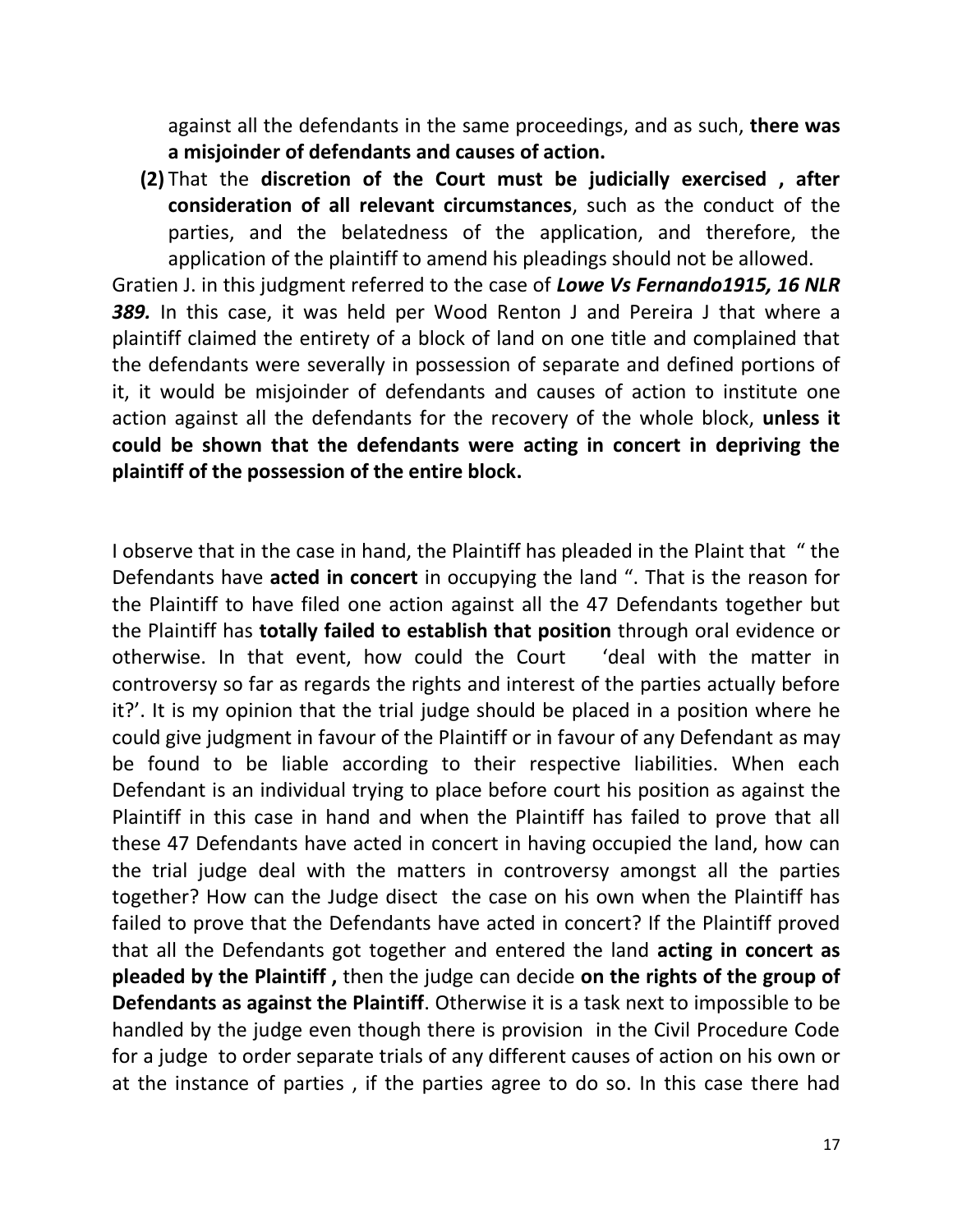against all the defendants in the same proceedings, and as such, **there was a misjoinder of defendants and causes of action.**

**(2)** That the **discretion of the Court must be judicially exercised , after consideration of all relevant circumstances**, such as the conduct of the parties, and the belatedness of the application, and therefore, the application of the plaintiff to amend his pleadings should not be allowed.

Gratien J. in this judgment referred to the case of *Lowe Vs Fernando1915, 16 NLR 389.* In this case, it was held per Wood Renton J and Pereira J that where a plaintiff claimed the entirety of a block of land on one title and complained that the defendants were severally in possession of separate and defined portions of it, it would be misjoinder of defendants and causes of action to institute one action against all the defendants for the recovery of the whole block, **unless it could be shown that the defendants were acting in concert in depriving the plaintiff of the possession of the entire block.**

I observe that in the case in hand, the Plaintiff has pleaded in the Plaint that " the Defendants have **acted in concert** in occupying the land ". That is the reason for the Plaintiff to have filed one action against all the 47 Defendants together but the Plaintiff has **totally failed to establish that position** through oral evidence or otherwise. In that event, how could the Court 'deal with the matter in controversy so far as regards the rights and interest of the parties actually before it?'. It is my opinion that the trial judge should be placed in a position where he could give judgment in favour of the Plaintiff or in favour of any Defendant as may be found to be liable according to their respective liabilities. When each Defendant is an individual trying to place before court his position as against the Plaintiff in this case in hand and when the Plaintiff has failed to prove that all these 47 Defendants have acted in concert in having occupied the land, how can the trial judge deal with the matters in controversy amongst all the parties together? How can the Judge disect the case on his own when the Plaintiff has failed to prove that the Defendants have acted in concert? If the Plaintiff proved that all the Defendants got together and entered the land **acting in concert as pleaded by the Plaintiff ,** then the judge can decide **on the rights of the group of Defendants as against the Plaintiff**. Otherwise it is a task next to impossible to be handled by the judge even though there is provision in the Civil Procedure Code for a judge to order separate trials of any different causes of action on his own or at the instance of parties , if the parties agree to do so. In this case there had